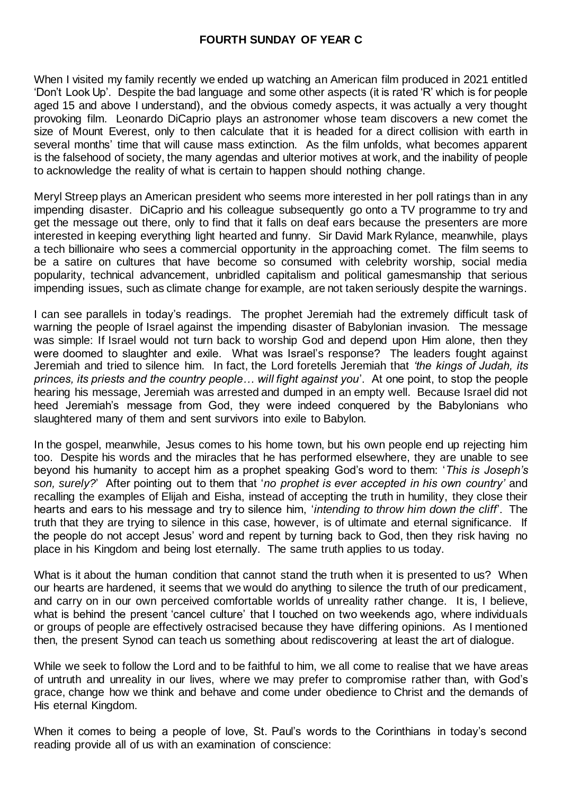When I visited my family recently we ended up watching an American film produced in 2021 entitled 'Don't Look Up'. Despite the bad language and some other aspects (it is rated 'R' which is for people aged 15 and above I understand), and the obvious comedy aspects, it was actually a very thought provoking film. Leonardo DiCaprio plays an astronomer whose team discovers a new comet the size of Mount Everest, only to then calculate that it is headed for a direct collision with earth in several months' time that will cause mass extinction. As the film unfolds, what becomes apparent is the falsehood of society, the many agendas and ulterior motives at work, and the inability of people to acknowledge the reality of what is certain to happen should nothing change.

Meryl Streep plays an American president who seems more interested in her poll ratings than in any impending disaster. DiCaprio and his colleague subsequently go onto a TV programme to try and get the message out there, only to find that it falls on deaf ears because the presenters are more interested in keeping everything light hearted and funny. Sir David Mark Rylance, meanwhile, plays a tech billionaire who sees a commercial opportunity in the approaching comet. The film seems to be a satire on cultures that have become so consumed with celebrity worship, social media popularity, technical advancement, unbridled capitalism and political gamesmanship that serious impending issues, such as climate change for example, are not taken seriously despite the warnings.

I can see parallels in today's readings. The prophet Jeremiah had the extremely difficult task of warning the people of Israel against the impending disaster of Babylonian invasion. The message was simple: If Israel would not turn back to worship God and depend upon Him alone, then they were doomed to slaughter and exile. What was Israel's response? The leaders fought against Jeremiah and tried to silence him. In fact, the Lord foretells Jeremiah that *'the kings of Judah, its princes, its priests and the country people… will fight against you*'. At one point, to stop the people hearing his message, Jeremiah was arrested and dumped in an empty well. Because Israel did not heed Jeremiah's message from God, they were indeed conquered by the Babylonians who slaughtered many of them and sent survivors into exile to Babylon.

In the gospel, meanwhile, Jesus comes to his home town, but his own people end up rejecting him too. Despite his words and the miracles that he has performed elsewhere, they are unable to see beyond his humanity to accept him as a prophet speaking God's word to them: '*This is Joseph's son, surely?*' After pointing out to them that '*no prophet is ever accepted in his own country'* and recalling the examples of Elijah and Eisha, instead of accepting the truth in humility, they close their hearts and ears to his message and try to silence him, '*intending to throw him down the cliff*'. The truth that they are trying to silence in this case, however, is of ultimate and eternal significance. If the people do not accept Jesus' word and repent by turning back to God, then they risk having no place in his Kingdom and being lost eternally. The same truth applies to us today.

What is it about the human condition that cannot stand the truth when it is presented to us? When our hearts are hardened, it seems that we would do anything to silence the truth of our predicament, and carry on in our own perceived comfortable worlds of unreality rather change. It is, I believe, what is behind the present 'cancel culture' that I touched on two weekends ago, where individuals or groups of people are effectively ostracised because they have differing opinions. As I mentioned then, the present Synod can teach us something about rediscovering at least the art of dialogue.

While we seek to follow the Lord and to be faithful to him, we all come to realise that we have areas of untruth and unreality in our lives, where we may prefer to compromise rather than, with God's grace, change how we think and behave and come under obedience to Christ and the demands of His eternal Kingdom.

When it comes to being a people of love, St. Paul's words to the Corinthians in today's second reading provide all of us with an examination of conscience: